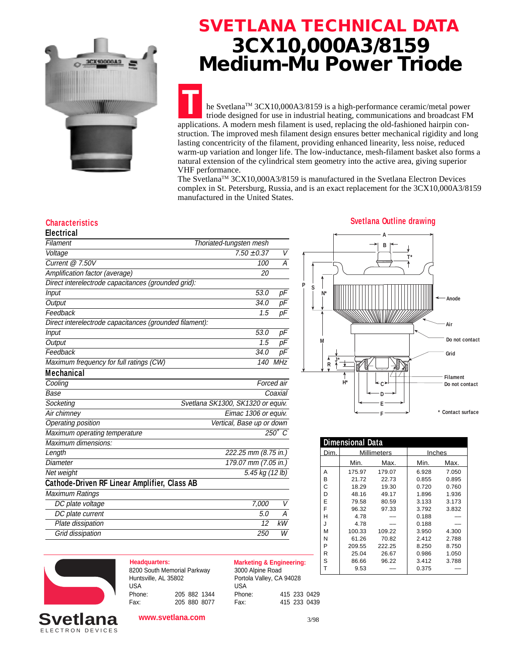

## **SVETLANA TECHNICAL DATA 3CX10,000A3/8159 Medium-Mu Power Triode**

**T** he SvetlanaTM 3CX10,000A3/8159 is a high-performance ceramic/metal power triode designed for use in industrial heating, communications and broadcast FM applications. A modern mesh filament is used, replacing the old-fashioned hairpin construction. The improved mesh filament design ensures better mechanical rigidity and long lasting concentricity of the filament, providing enhanced linearity, less noise, reduced warm-up variation and longer life. The low-inductance, mesh-filament basket also forms a natural extension of the cylindrical stem geometry into the active area, giving superior VHF performance.

The Svetlana<sup>TM</sup> 3CX10,000A3/8159 is manufactured in the Svetlana Electron Devices complex in St. Petersburg, Russia, and is an exact replacement for the 3CX10,000A3/8159 manufactured in the United States.

| Electrical                                              |                                   |                 |  |  |
|---------------------------------------------------------|-----------------------------------|-----------------|--|--|
| Filament                                                | Thoriated-tungsten mesh           |                 |  |  |
| Voltage                                                 | $7.50 \pm 0.37$                   | V               |  |  |
| Current $@$ 7.50V                                       | 100                               | А               |  |  |
| Amplification factor (average)                          | 20                                |                 |  |  |
| Direct interelectrode capacitances (grounded grid):     |                                   |                 |  |  |
| Input                                                   | 53.0                              | рF              |  |  |
| Output                                                  | 34.0                              | рF              |  |  |
| Feedback                                                | 1.5                               | pF              |  |  |
| Direct interelectrode capacitances (grounded filament): |                                   |                 |  |  |
| Input                                                   | 53.0                              | рF              |  |  |
| Output                                                  | 1.5                               | рF              |  |  |
| Feedback                                                | 34.0                              | рF              |  |  |
| Maximum frequency for full ratings (CW)                 | 140                               | <b>MHz</b>      |  |  |
| <b>Mechanical</b>                                       |                                   |                 |  |  |
| Cooling                                                 |                                   | Forced air      |  |  |
| Base                                                    |                                   | Coaxial         |  |  |
| Socketing                                               | Svetlana SK1300, SK1320 or equiv. |                 |  |  |
| Air chimney                                             | Eimac 1306 or equiv.              |                 |  |  |
| <b>Operating position</b>                               | Vertical, Base up or down         |                 |  |  |
| Maximum operating temperature                           |                                   | $250^\circ$ C   |  |  |
| Maximum dimensions:                                     |                                   |                 |  |  |
| Length                                                  | 222.25 mm (8.75 in.)              |                 |  |  |
| <b>Diameter</b>                                         | 179.07 mm (7.05 in.)              |                 |  |  |
| Net weight                                              |                                   | 5.45 kg (12 lb) |  |  |
| Cathode-Driven RF Linear Amplifier, Class AB            |                                   |                 |  |  |
| <b>Maximum Ratings</b>                                  |                                   |                 |  |  |
| DC plate voltage                                        | 7,000                             | V               |  |  |
| DC plate current                                        | 5.0                               | А               |  |  |
| Plate dissipation                                       | 12                                | kW              |  |  |
| Grid dissipation                                        | 250                               | W               |  |  |
|                                                         |                                   |                 |  |  |

### **Characteristics Svetlana Outline drawing**



| <b>Dimensional Data</b> |             |        |        |       |
|-------------------------|-------------|--------|--------|-------|
| Dim.                    | Millimeters |        | Inches |       |
|                         | Min.        | Max.   | Min.   | Max.  |
| А                       | 175.97      | 179.07 | 6.928  | 7.050 |
| B                       | 21.72       | 22.73  | 0.855  | 0.895 |
| С                       | 18.29       | 19.30  | 0.720  | 0.760 |
| D                       | 48.16       | 49.17  | 1.896  | 1.936 |
| E                       | 79.58       | 80.59  | 3.133  | 3.173 |
| F                       | 96.32       | 97.33  | 3.792  | 3.832 |
| н                       | 4.78        |        | 0.188  |       |
| J                       | 4.78        |        | 0.188  |       |
| м                       | 100.33      | 109.22 | 3.950  | 4.300 |
| N                       | 61.26       | 70.82  | 2.412  | 2.788 |
| P                       | 209.55      | 222.25 | 8.250  | 8.750 |
| R                       | 25.04       | 26.67  | 0.986  | 1.050 |
| S                       | 86.66       | 96.22  | 3.412  | 3.788 |
|                         | 9.53        |        | 0.375  |       |



| <b>Headquarters:</b>        |  |              |
|-----------------------------|--|--------------|
| 8200 South Memorial Parkway |  |              |
| Huntsville, AL 35802        |  |              |
| USA                         |  |              |
| Phone:                      |  | 205 882 1344 |
| Fax:                        |  | 205 880 8077 |

**Marketing & Engineering:** 3000 Alpine Road Portola Valley, CA 94028 USA Phone: 415 233 0429 Fax: 415 233 0439

ELECTRON DEVICES **Svetlana**

**www.svetlana.com**